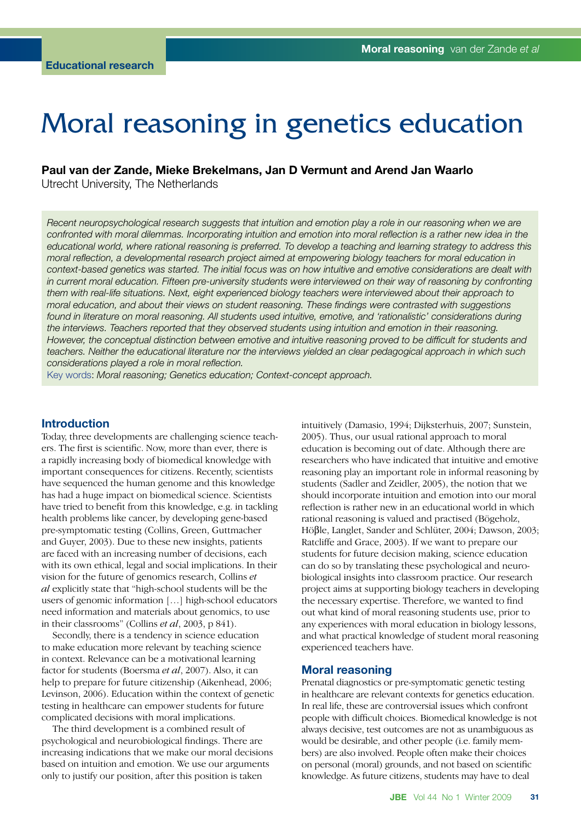# Moral reasoning in genetics education

# **Paul van der Zande, Mieke Brekelmans, Jan D Vermunt and Arend Jan Waarlo**

Utrecht University, The Netherlands

*Recent neuropsychological research suggests that intuition and emotion play a role in our reasoning when we are confronted with moral dilemmas. Incorporating intuition and emotion into moral reflection is a rather new idea in the educational world, where rational reasoning is preferred. To develop a teaching and learning strategy to address this moral reflection, a developmental research project aimed at empowering biology teachers for moral education in context-based genetics was started. The initial focus was on how intuitive and emotive considerations are dealt with*  in current moral education. Fifteen pre-university students were interviewed on their way of reasoning by confronting *them with real-life situations. Next, eight experienced biology teachers were interviewed about their approach to moral education, and about their views on student reasoning. These findings were contrasted with suggestions found in literature on moral reasoning. All students used intuitive, emotive, and 'rationalistic' considerations during the interviews. Teachers reported that they observed students using intuition and emotion in their reasoning. However, the conceptual distinction between emotive and intuitive reasoning proved to be difficult for students and teachers. Neither the educational literature nor the interviews yielded an clear pedagogical approach in which such considerations played a role in moral reflection.*

Key words: *Moral reasoning; Genetics education; Context-concept approach.*

# **Introduction**

Today, three developments are challenging science teachers. The first is scientific. Now, more than ever, there is a rapidly increasing body of biomedical knowledge with important consequences for citizens. Recently, scientists have sequenced the human genome and this knowledge has had a huge impact on biomedical science. Scientists have tried to benefit from this knowledge, e.g. in tackling health problems like cancer, by developing gene-based pre-symptomatic testing (Collins, Green, Guttmacher and Guyer, 2003). Due to these new insights, patients are faced with an increasing number of decisions, each with its own ethical, legal and social implications. In their vision for the future of genomics research, Collins *et al* explicitly state that "high-school students will be the users of genomic information […] high-school educators need information and materials about genomics, to use in their classrooms" (Collins *et al*, 2003, p 841).

Secondly, there is a tendency in science education to make education more relevant by teaching science in context. Relevance can be a motivational learning factor for students (Boersma *et al*, 2007). Also, it can help to prepare for future citizenship (Aikenhead, 2006; Levinson, 2006). Education within the context of genetic testing in healthcare can empower students for future complicated decisions with moral implications.

The third development is a combined result of psychological and neurobiological findings. There are increasing indications that we make our moral decisions based on intuition and emotion. We use our arguments only to justify our position, after this position is taken

intuitively (Damasio, 1994; Dijksterhuis, 2007; Sunstein, 2005). Thus, our usual rational approach to moral education is becoming out of date. Although there are researchers who have indicated that intuitive and emotive reasoning play an important role in informal reasoning by students (Sadler and Zeidler, 2005), the notion that we should incorporate intuition and emotion into our moral reflection is rather new in an educational world in which rational reasoning is valued and practised (Bögeholz, Hößle, Langlet, Sander and Schlüter, 2004; Dawson, 2003; Ratcliffe and Grace, 2003). If we want to prepare our students for future decision making, science education can do so by translating these psychological and neurobiological insights into classroom practice. Our research project aims at supporting biology teachers in developing the necessary expertise. Therefore, we wanted to find out what kind of moral reasoning students use, prior to any experiences with moral education in biology lessons, and what practical knowledge of student moral reasoning experienced teachers have.

## **Moral reasoning**

Prenatal diagnostics or pre-symptomatic genetic testing in healthcare are relevant contexts for genetics education. In real life, these are controversial issues which confront people with difficult choices. Biomedical knowledge is not always decisive, test outcomes are not as unambiguous as would be desirable, and other people (i.e. family members) are also involved. People often make their choices on personal (moral) grounds, and not based on scientific knowledge. As future citizens, students may have to deal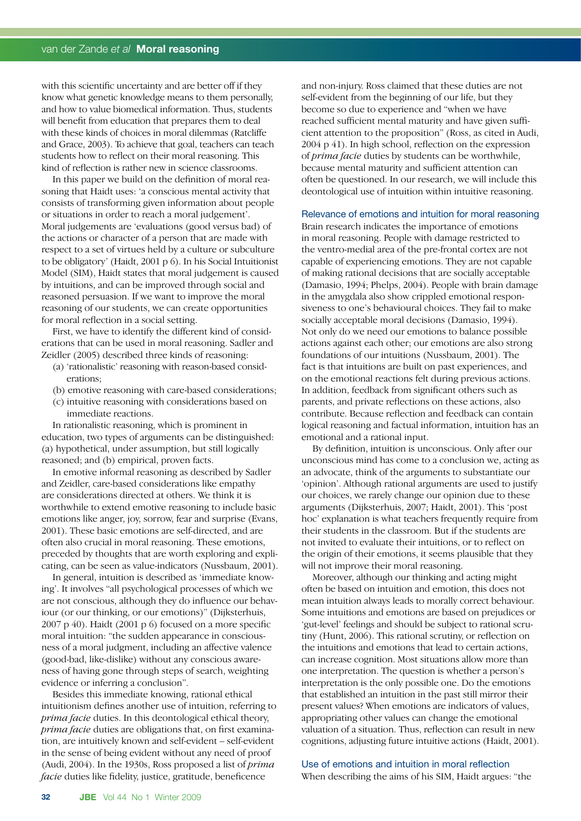with this scientific uncertainty and are better off if they know what genetic knowledge means to them personally, and how to value biomedical information. Thus, students will benefit from education that prepares them to deal with these kinds of choices in moral dilemmas (Ratcliffe and Grace, 2003). To achieve that goal, teachers can teach students how to reflect on their moral reasoning. This kind of reflection is rather new in science classrooms.

In this paper we build on the definition of moral reasoning that Haidt uses: 'a conscious mental activity that consists of transforming given information about people or situations in order to reach a moral judgement'. Moral judgements are 'evaluations (good versus bad) of the actions or character of a person that are made with respect to a set of virtues held by a culture or subculture to be obligatory' (Haidt, 2001 p 6). In his Social Intuitionist Model (SIM), Haidt states that moral judgement is caused by intuitions, and can be improved through social and reasoned persuasion. If we want to improve the moral reasoning of our students, we can create opportunities for moral reflection in a social setting.

First, we have to identify the different kind of considerations that can be used in moral reasoning. Sadler and Zeidler (2005) described three kinds of reasoning:

- (a) 'rationalistic' reasoning with reason-based considerations;
- (b) emotive reasoning with care-based considerations;
- (c) intuitive reasoning with considerations based on immediate reactions.

In rationalistic reasoning, which is prominent in education, two types of arguments can be distinguished: (a) hypothetical, under assumption, but still logically reasoned; and (b) empirical, proven facts.

In emotive informal reasoning as described by Sadler and Zeidler, care-based considerations like empathy are considerations directed at others. We think it is worthwhile to extend emotive reasoning to include basic emotions like anger, joy, sorrow, fear and surprise (Evans, 2001). These basic emotions are self-directed, and are often also crucial in moral reasoning. These emotions, preceded by thoughts that are worth exploring and explicating, can be seen as value-indicators (Nussbaum, 2001).

In general, intuition is described as 'immediate knowing'. It involves "all psychological processes of which we are not conscious, although they do influence our behaviour (or our thinking, or our emotions)" (Dijksterhuis, 2007 p 40). Haidt (2001 p 6) focused on a more specific moral intuition: "the sudden appearance in consciousness of a moral judgment, including an affective valence (good-bad, like-dislike) without any conscious awareness of having gone through steps of search, weighting evidence or inferring a conclusion".

Besides this immediate knowing, rational ethical intuitionism defines another use of intuition, referring to *prima facie* duties. In this deontological ethical theory, *prima facie* duties are obligations that, on first examination, are intuitively known and self-evident – self-evident in the sense of being evident without any need of proof (Audi, 2004). In the 1930s, Ross proposed a list of *prima facie* duties like fidelity, justice, gratitude, beneficence

and non-injury. Ross claimed that these duties are not self-evident from the beginning of our life, but they become so due to experience and "when we have reached sufficient mental maturity and have given sufficient attention to the proposition" (Ross, as cited in Audi, 2004 p 41). In high school, reflection on the expression of *prima facie* duties by students can be worthwhile, because mental maturity and sufficient attention can often be questioned. In our research, we will include this deontological use of intuition within intuitive reasoning.

#### Relevance of emotions and intuition for moral reasoning

Brain research indicates the importance of emotions in moral reasoning. People with damage restricted to the ventro-medial area of the pre-frontal cortex are not capable of experiencing emotions. They are not capable of making rational decisions that are socially acceptable (Damasio, 1994; Phelps, 2004). People with brain damage in the amygdala also show crippled emotional responsiveness to one's behavioural choices. They fail to make socially acceptable moral decisions (Damasio, 1994). Not only do we need our emotions to balance possible actions against each other; our emotions are also strong foundations of our intuitions (Nussbaum, 2001). The fact is that intuitions are built on past experiences, and on the emotional reactions felt during previous actions. In addition, feedback from significant others such as parents, and private reflections on these actions, also contribute. Because reflection and feedback can contain logical reasoning and factual information, intuition has an emotional and a rational input.

By definition, intuition is unconscious. Only after our unconscious mind has come to a conclusion we, acting as an advocate, think of the arguments to substantiate our 'opinion'. Although rational arguments are used to justify our choices, we rarely change our opinion due to these arguments (Dijksterhuis, 2007; Haidt, 2001). This 'post hoc' explanation is what teachers frequently require from their students in the classroom. But if the students are not invited to evaluate their intuitions, or to reflect on the origin of their emotions, it seems plausible that they will not improve their moral reasoning.

Moreover, although our thinking and acting might often be based on intuition and emotion, this does not mean intuition always leads to morally correct behaviour. Some intuitions and emotions are based on prejudices or 'gut-level' feelings and should be subject to rational scrutiny (Hunt, 2006). This rational scrutiny, or reflection on the intuitions and emotions that lead to certain actions, can increase cognition. Most situations allow more than one interpretation. The question is whether a person's interpretation is the only possible one. Do the emotions that established an intuition in the past still mirror their present values? When emotions are indicators of values, appropriating other values can change the emotional valuation of a situation. Thus, reflection can result in new cognitions, adjusting future intuitive actions (Haidt, 2001).

## Use of emotions and intuition in moral reflection

When describing the aims of his SIM, Haidt argues: "the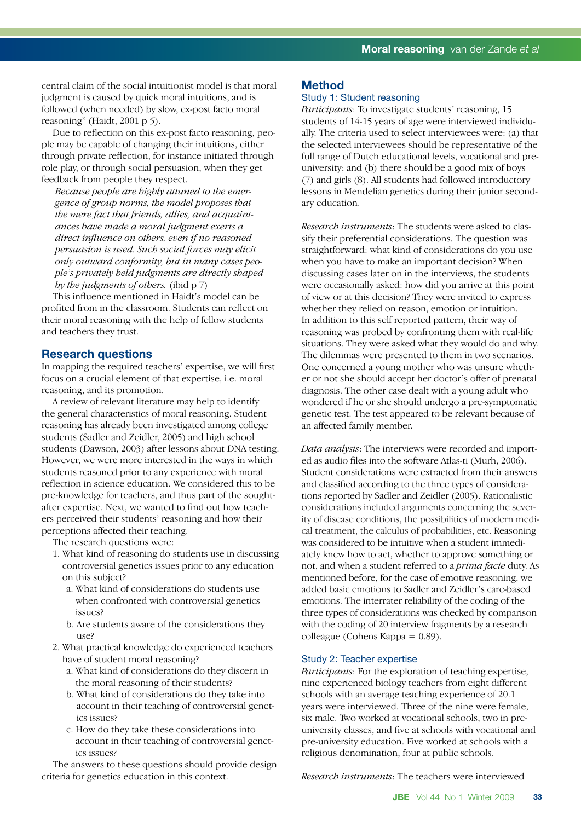central claim of the social intuitionist model is that moral judgment is caused by quick moral intuitions, and is followed (when needed) by slow, ex-post facto moral reasoning" (Haidt, 2001 p 5).

Due to reflection on this ex-post facto reasoning, people may be capable of changing their intuitions, either through private reflection, for instance initiated through role play, or through social persuasion, when they get feedback from people they respect.

*Because people are highly attuned to the emergence of group norms, the model proposes that the mere fact that friends, allies, and acquaintances have made a moral judgment exerts a direct influence on others, even if no reasoned persuasion is used. Such social forces may elicit only outward conformity, but in many cases people's privately held judgments are directly shaped by the judgments of others.* (ibid p 7)

This influence mentioned in Haidt's model can be profited from in the classroom. Students can reflect on their moral reasoning with the help of fellow students and teachers they trust.

## **Research questions**

In mapping the required teachers' expertise, we will first focus on a crucial element of that expertise, i.e. moral reasoning, and its promotion.

A review of relevant literature may help to identify the general characteristics of moral reasoning. Student reasoning has already been investigated among college students (Sadler and Zeidler, 2005) and high school students (Dawson, 2003) after lessons about DNA testing. However, we were more interested in the ways in which students reasoned prior to any experience with moral reflection in science education. We considered this to be pre-knowledge for teachers, and thus part of the soughtafter expertise. Next, we wanted to find out how teachers perceived their students' reasoning and how their perceptions affected their teaching.

The research questions were:

- 1. What kind of reasoning do students use in discussing controversial genetics issues prior to any education on this subject?
	- a. What kind of considerations do students use when confronted with controversial genetics issues?
	- b. Are students aware of the considerations they use?
- 2. What practical knowledge do experienced teachers have of student moral reasoning?
	- a. What kind of considerations do they discern in the moral reasoning of their students?
	- b. What kind of considerations do they take into account in their teaching of controversial genetics issues?
	- c. How do they take these considerations into account in their teaching of controversial genetics issues?

The answers to these questions should provide design criteria for genetics education in this context.

## **Method**

# Study 1: Student reasoning

*Participants:* To investigate students' reasoning, 15 students of 14-15 years of age were interviewed individually. The criteria used to select interviewees were: (a) that the selected interviewees should be representative of the full range of Dutch educational levels, vocational and preuniversity; and (b) there should be a good mix of boys (7) and girls (8). All students had followed introductory lessons in Mendelian genetics during their junior secondary education.

*Research instruments*: The students were asked to classify their preferential considerations. The question was straightforward: what kind of considerations do you use when you have to make an important decision? When discussing cases later on in the interviews, the students were occasionally asked: how did you arrive at this point of view or at this decision? They were invited to express whether they relied on reason, emotion or intuition. In addition to this self reported pattern, their way of reasoning was probed by confronting them with real-life situations. They were asked what they would do and why. The dilemmas were presented to them in two scenarios. One concerned a young mother who was unsure whether or not she should accept her doctor's offer of prenatal diagnosis. The other case dealt with a young adult who wondered if he or she should undergo a pre-symptomatic genetic test. The test appeared to be relevant because of an affected family member.

*Data analysis*: The interviews were recorded and imported as audio files into the software Atlas-ti (Murh, 2006). Student considerations were extracted from their answers and classified according to the three types of considerations reported by Sadler and Zeidler (2005). Rationalistic considerations included arguments concerning the severity of disease conditions, the possibilities of modern medical treatment, the calculus of probabilities, etc. Reasoning was considered to be intuitive when a student immediately knew how to act, whether to approve something or not, and when a student referred to a *prima facie* duty. As mentioned before, for the case of emotive reasoning, we added basic emotions to Sadler and Zeidler's care-based emotions. The interrater reliability of the coding of the three types of considerations was checked by comparison with the coding of 20 interview fragments by a research colleague (Cohens Kappa = 0.89).

#### Study 2: Teacher expertise

*Participants*: For the exploration of teaching expertise, nine experienced biology teachers from eight different schools with an average teaching experience of 20.1 years were interviewed. Three of the nine were female, six male. Two worked at vocational schools, two in preuniversity classes, and five at schools with vocational and pre-university education. Five worked at schools with a religious denomination, four at public schools.

*Research instruments*: The teachers were interviewed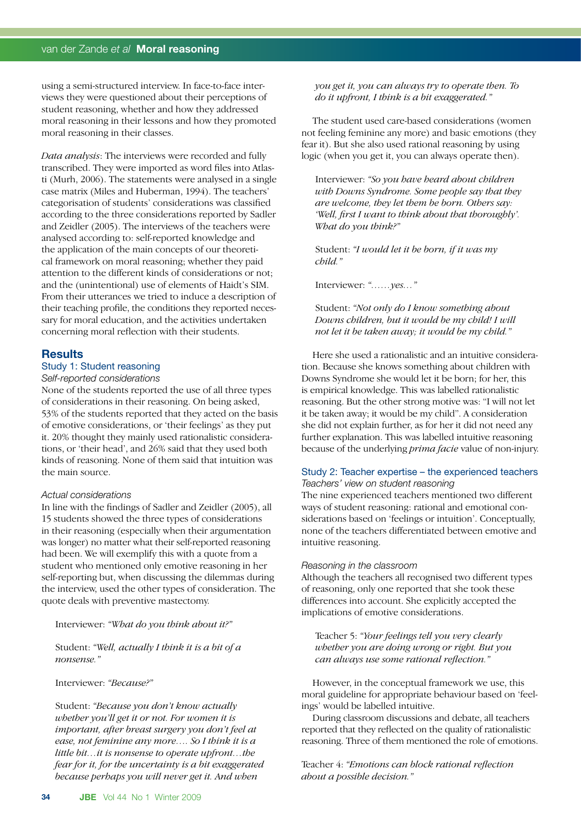using a semi-structured interview. In face-to-face interviews they were questioned about their perceptions of student reasoning, whether and how they addressed moral reasoning in their lessons and how they promoted moral reasoning in their classes.

*Data analysis*: The interviews were recorded and fully transcribed. They were imported as word files into Atlasti (Murh, 2006). The statements were analysed in a single case matrix (Miles and Huberman, 1994). The teachers' categorisation of students' considerations was classified according to the three considerations reported by Sadler and Zeidler (2005). The interviews of the teachers were analysed according to: self-reported knowledge and the application of the main concepts of our theoretical framework on moral reasoning; whether they paid attention to the different kinds of considerations or not; and the (unintentional) use of elements of Haidt's SIM. From their utterances we tried to induce a description of their teaching profile, the conditions they reported necessary for moral education, and the activities undertaken concerning moral reflection with their students.

# **Results**

# Study 1: Student reasoning

*Self-reported considerations*

None of the students reported the use of all three types of considerations in their reasoning. On being asked, 53% of the students reported that they acted on the basis of emotive considerations, or 'their feelings' as they put it. 20% thought they mainly used rationalistic considerations, or 'their head', and 26% said that they used both kinds of reasoning. None of them said that intuition was the main source.

## *Actual considerations*

In line with the findings of Sadler and Zeidler (2005), all 15 students showed the three types of considerations in their reasoning (especially when their argumentation was longer) no matter what their self-reported reasoning had been. We will exemplify this with a quote from a student who mentioned only emotive reasoning in her self-reporting but, when discussing the dilemmas during the interview, used the other types of consideration. The quote deals with preventive mastectomy.

Interviewer: *"What do you think about it?"*

Student: *"Well, actually I think it is a bit of a nonsense."*

Interviewer: *"Because?"*

Student: *"Because you don't know actually whether you'll get it or not. For women it is important, after breast surgery you don't feel at ease, not feminine any more…. So I think it is a little bit…it is nonsense to operate upfront…the fear for it, for the uncertainty is a bit exaggerated because perhaps you will never get it. And when* 

*you get it, you can always try to operate then. To do it upfront, I think is a bit exaggerated."* 

The student used care-based considerations (women not feeling feminine any more) and basic emotions (they fear it). But she also used rational reasoning by using logic (when you get it, you can always operate then).

Interviewer: *"So you have heard about children with Downs Syndrome. Some people say that they are welcome, they let them be born. Others say: 'Well, first I want to think about that thoroughly'. What do you think?"* 

Student: *"I would let it be born, if it was my child."* 

Interviewer: *"……yes…"*

Student: *"Not only do I know something about Downs children, but it would be my child! I will not let it be taken away; it would be my child."*

Here she used a rationalistic and an intuitive consideration. Because she knows something about children with Downs Syndrome she would let it be born; for her, this is empirical knowledge. This was labelled rationalistic reasoning. But the other strong motive was: "I will not let it be taken away; it would be my child". A consideration she did not explain further, as for her it did not need any further explanation. This was labelled intuitive reasoning because of the underlying *prima facie* value of non-injury.

## Study 2: Teacher expertise – the experienced teachers *Teachers' view on student reasoning*

The nine experienced teachers mentioned two different ways of student reasoning: rational and emotional considerations based on 'feelings or intuition'. Conceptually, none of the teachers differentiated between emotive and intuitive reasoning.

## *Reasoning in the classroom*

Although the teachers all recognised two different types of reasoning, only one reported that she took these differences into account. She explicitly accepted the implications of emotive considerations.

Teacher 5: *"Your feelings tell you very clearly whether you are doing wrong or right. But you can always use some rational reflection."*

However, in the conceptual framework we use, this moral guideline for appropriate behaviour based on 'feelings' would be labelled intuitive.

During classroom discussions and debate, all teachers reported that they reflected on the quality of rationalistic reasoning. Three of them mentioned the role of emotions.

Teacher 4: *"Emotions can block rational reflection about a possible decision."*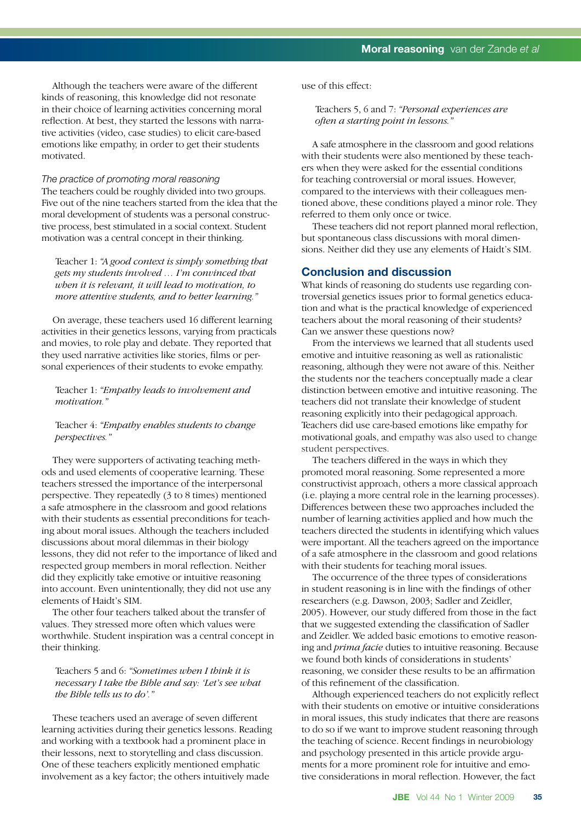Although the teachers were aware of the different kinds of reasoning, this knowledge did not resonate in their choice of learning activities concerning moral reflection. At best, they started the lessons with narrative activities (video, case studies) to elicit care-based emotions like empathy, in order to get their students motivated.

*The practice of promoting moral reasoning*

The teachers could be roughly divided into two groups. Five out of the nine teachers started from the idea that the moral development of students was a personal constructive process, best stimulated in a social context. Student motivation was a central concept in their thinking.

Teacher 1: *"A good context is simply something that gets my students involved … I'm convinced that when it is relevant, it will lead to motivation, to more attentive students, and to better learning."*

On average, these teachers used 16 different learning activities in their genetics lessons, varying from practicals and movies, to role play and debate. They reported that they used narrative activities like stories, films or personal experiences of their students to evoke empathy.

Teacher 1: *"Empathy leads to involvement and motivation."*

Teacher 4: *"Empathy enables students to change perspectives."*

They were supporters of activating teaching methods and used elements of cooperative learning. These teachers stressed the importance of the interpersonal perspective. They repeatedly (3 to 8 times) mentioned a safe atmosphere in the classroom and good relations with their students as essential preconditions for teaching about moral issues. Although the teachers included discussions about moral dilemmas in their biology lessons, they did not refer to the importance of liked and respected group members in moral reflection. Neither did they explicitly take emotive or intuitive reasoning into account. Even unintentionally, they did not use any elements of Haidt's SIM.

The other four teachers talked about the transfer of values. They stressed more often which values were worthwhile. Student inspiration was a central concept in their thinking.

Teachers 5 and 6: *"Sometimes when I think it is necessary I take the Bible and say: 'Let's see what the Bible tells us to do'."*

These teachers used an average of seven different learning activities during their genetics lessons. Reading and working with a textbook had a prominent place in their lessons, next to storytelling and class discussion. One of these teachers explicitly mentioned emphatic involvement as a key factor; the others intuitively made

use of this effect:

Teachers 5, 6 and 7: *"Personal experiences are often a starting point in lessons."*

A safe atmosphere in the classroom and good relations with their students were also mentioned by these teachers when they were asked for the essential conditions for teaching controversial or moral issues. However, compared to the interviews with their colleagues mentioned above, these conditions played a minor role. They referred to them only once or twice.

These teachers did not report planned moral reflection, but spontaneous class discussions with moral dimensions. Neither did they use any elements of Haidt's SIM.

# **Conclusion and discussion**

What kinds of reasoning do students use regarding controversial genetics issues prior to formal genetics education and what is the practical knowledge of experienced teachers about the moral reasoning of their students? Can we answer these questions now?

From the interviews we learned that all students used emotive and intuitive reasoning as well as rationalistic reasoning, although they were not aware of this. Neither the students nor the teachers conceptually made a clear distinction between emotive and intuitive reasoning. The teachers did not translate their knowledge of student reasoning explicitly into their pedagogical approach. Teachers did use care-based emotions like empathy for motivational goals, and empathy was also used to change student perspectives.

The teachers differed in the ways in which they promoted moral reasoning. Some represented a more constructivist approach, others a more classical approach (i.e. playing a more central role in the learning processes). Differences between these two approaches included the number of learning activities applied and how much the teachers directed the students in identifying which values were important. All the teachers agreed on the importance of a safe atmosphere in the classroom and good relations with their students for teaching moral issues.

The occurrence of the three types of considerations in student reasoning is in line with the findings of other researchers (e.g. Dawson, 2003; Sadler and Zeidler, 2005). However, our study differed from those in the fact that we suggested extending the classification of Sadler and Zeidler. We added basic emotions to emotive reasoning and *prima facie* duties to intuitive reasoning. Because we found both kinds of considerations in students' reasoning, we consider these results to be an affirmation of this refinement of the classification.

Although experienced teachers do not explicitly reflect with their students on emotive or intuitive considerations in moral issues, this study indicates that there are reasons to do so if we want to improve student reasoning through the teaching of science. Recent findings in neurobiology and psychology presented in this article provide arguments for a more prominent role for intuitive and emotive considerations in moral reflection. However, the fact